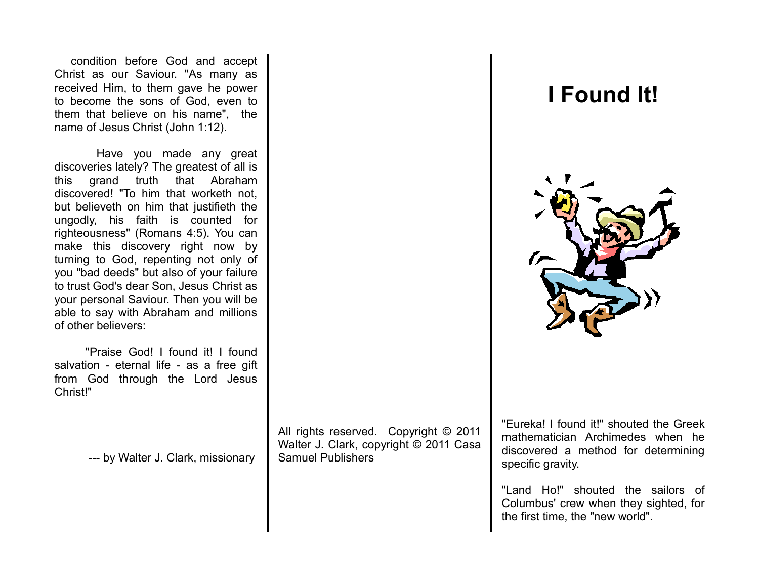condition before God and accept Christ as our Saviour. "As many as received Him, to them gave he power to become the sons of God, even to them that believe on his name", the name of Jesus Christ (John 1:12).

 Have you made any great discoveries lately? The greatest of all is this grand truth that Abraham discovered! "To him that worketh not, but believeth on him that justifieth the ungodly, his faith is counted for righteousness" (Romans 4:5). You can make this discovery right now by turning to God, repenting not only of you "bad deeds" but also of your failure to trust God's dear Son, Jesus Christ as your personal Saviour. Then you will be able to say with Abraham and millions of other believers:

 "Praise God! I found it! I found salvation - eternal life - as a free gift from God through the Lord Jesus Christ!"

--- by Walter J. Clark, missionary

All rights reserved. Copyright © 2011 Walter J. Clark, copyright © 2011 Casa Samuel Publishers

"Eureka! I found it!" shouted the Greek mathematician Archimedes when he discovered a method for determining specific gravity.

"Land Ho!" shouted the sailors of Columbus' crew when they sighted, for the first time, the "new world".

## **I Found It!**